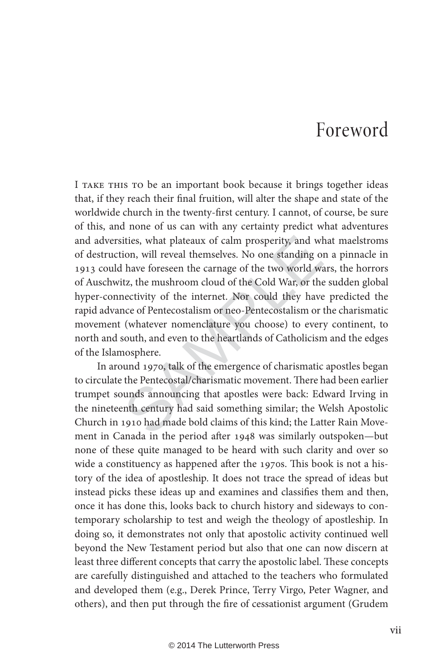## Foreword

ities, what plateaux of calm prosperity, and wlion, will reveal themselves. No one standing of lawe foreseen the carnage of the two world witz, the mushroom cloud of the Cold War, or the nectivity of the internet. Nor coul I TAKE THIS TO be an important book because it brings together ideas that, if they reach their final fruition, will alter the shape and state of the worldwide church in the twenty-first century. I cannot, of course, be sure of this, and none of us can with any certainty predict what adventures and adversities, what plateaux of calm prosperity, and what maelstroms of destruction, will reveal themselves. No one standing on a pinnacle in 1913 could have foreseen the carnage of the two world wars, the horrors of Auschwitz, the mushroom cloud of the Cold War, or the sudden global hyper-connectivity of the internet. Nor could they have predicted the rapid advance of Pentecostalism or neo-Pentecostalism or the charismatic movement (whatever nomenclature you choose) to every continent, to north and south, and even to the heartlands of Catholicism and the edges of the Islamosphere.

In around 1970, talk of the emergence of charismatic apostles began to circulate the Pentecostal/charismatic movement. There had been earlier trumpet sounds announcing that apostles were back: Edward Irving in the nineteenth century had said something similar; the Welsh Apostolic Church in 1910 had made bold claims of this kind; the Latter Rain Movement in Canada in the period after 1948 was similarly outspoken—but none of these quite managed to be heard with such clarity and over so wide a constituency as happened after the 1970s. This book is not a history of the idea of apostleship. It does not trace the spread of ideas but instead picks these ideas up and examines and classifies them and then, once it has done this, looks back to church history and sideways to contemporary scholarship to test and weigh the theology of apostleship. In doing so, it demonstrates not only that apostolic activity continued well beyond the New Testament period but also that one can now discern at least three different concepts that carry the apostolic label. These concepts are carefully distinguished and attached to the teachers who formulated and developed them (e.g., Derek Prince, Terry Virgo, Peter Wagner, and others), and then put through the fire of cessationist argument (Grudem